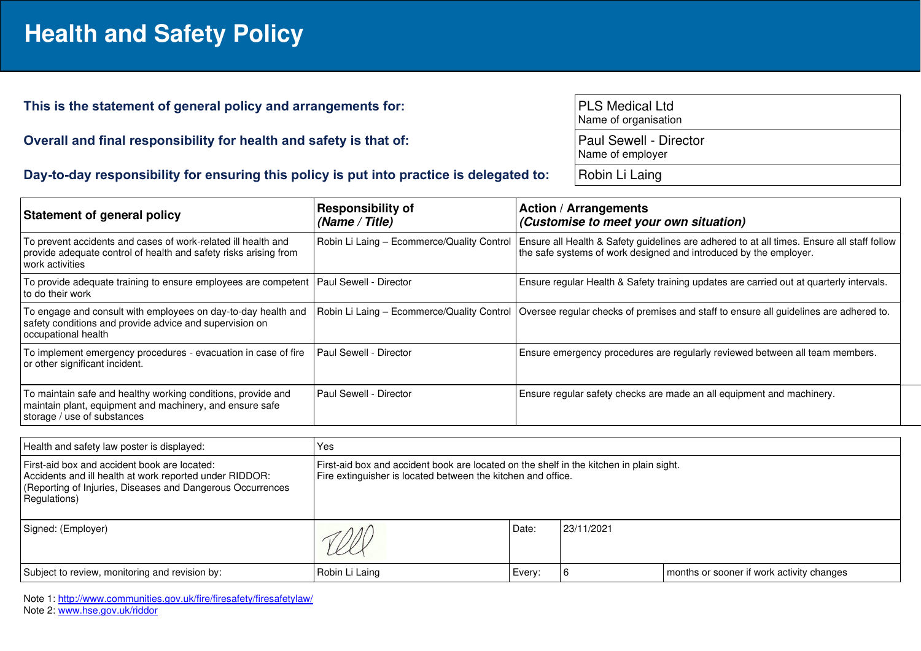## **Health and Safety Policy**

## This is the statement of general policy and arrangements for:

**Overall and final responsibility for health and safety is that of:** 

|  |  |  | Day-to-day responsibility for ensuring this policy is put into practice is delegated to: |
|--|--|--|------------------------------------------------------------------------------------------|
|--|--|--|------------------------------------------------------------------------------------------|

| <b>PLS Medical Ltd</b><br>Name of organisation |
|------------------------------------------------|
| Paul Sewell - Director<br>Name of employer     |

**Robin Li Laing** 

| <b>Statement of general policy</b>                                                                                                                      | <b>Responsibility of</b><br>(Name / Title) | <b>Action / Arrangements</b><br>(Customise to meet your own situation)                                                                                          |
|---------------------------------------------------------------------------------------------------------------------------------------------------------|--------------------------------------------|-----------------------------------------------------------------------------------------------------------------------------------------------------------------|
| To prevent accidents and cases of work-related ill health and<br>provide adequate control of health and safety risks arising from<br>work activities    | Robin Li Laing - Ecommerce/Quality Control | Ensure all Health & Safety guidelines are adhered to at all times. Ensure all staff follow<br>the safe systems of work designed and introduced by the employer. |
| To provide adequate training to ensure employees are competent   Paul Sewell - Director<br>l to do their work                                           |                                            | Ensure regular Health & Safety training updates are carried out at quarterly intervals.                                                                         |
| To engage and consult with employees on day-to-day health and<br>safety conditions and provide advice and supervision on<br>occupational health         | Robin Li Laing - Ecommerce/Quality Control | Oversee regular checks of premises and staff to ensure all guidelines are adhered to.                                                                           |
| To implement emergency procedures - evacuation in case of fire<br>or other significant incident.                                                        | Paul Sewell - Director                     | Ensure emergency procedures are regularly reviewed between all team members.                                                                                    |
| To maintain safe and healthy working conditions, provide and<br>maintain plant, equipment and machinery, and ensure safe<br>storage / use of substances | Paul Sewell - Director                     | Ensure regular safety checks are made an all equipment and machinery.                                                                                           |

| Health and safety law poster is displayed:                                                                                                                                            | Yes                                                                                                                                                     |        |            |                                           |  |
|---------------------------------------------------------------------------------------------------------------------------------------------------------------------------------------|---------------------------------------------------------------------------------------------------------------------------------------------------------|--------|------------|-------------------------------------------|--|
| First-aid box and accident book are located:<br>Accidents and ill health at work reported under RIDDOR:<br>(Reporting of Injuries, Diseases and Dangerous Occurrences<br>Regulations) | First-aid box and accident book are located on the shelf in the kitchen in plain sight.<br>Fire extinguisher is located between the kitchen and office. |        |            |                                           |  |
| Signed: (Employer)                                                                                                                                                                    |                                                                                                                                                         | Date:  | 23/11/2021 |                                           |  |
| Subject to review, monitoring and revision by:                                                                                                                                        | Robin Li Laing                                                                                                                                          | Every: |            | months or sooner if work activity changes |  |

Note 1:<http://www.communities.gov.uk/fire/firesafety/firesafetylaw/>

Note 2: [www.hse.gov.uk/riddor](http://www.hse.gov.uk/riddor)